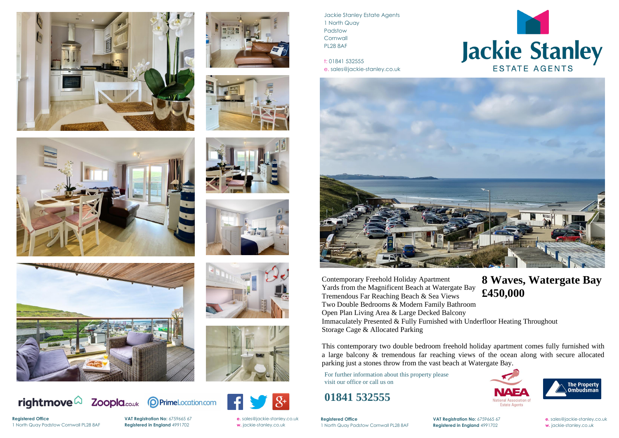





Zoopla.co.uk















 $\frac{1}{2}$   $\frac{1}{8}$ 

Jackie Stanley Estate Agents 1 North Quay Padstow **Cornwall** PL28 8AF

t: 01841 532555 e. sales@jackie-stanley.co.uk



**Registered Office VAT Registration No:** 6759665 67 **e.** [sales@jackie-stanley.co.uk](mailto:sales@jackie-stanley.co.uk)

**Registered Office** 

rightmove $\Omega$ 

1 North Quay Padstow Cornwall PL28 8AF **Registered in England** 4991702 **w.** jackie-stanley.co.uk

For further information about this property please visit our office or call us on

## **01841 532555**

Contemporary Freehold Holiday Apartment Yards from the Magnificent Beach at Watergate Bay Tremendous Far Reaching Beach & Sea Views Two Double Bedrooms & Modern Family Bathroom Open Plan Living Area & Large Decked Balcony Immaculately Presented & Fully Furnished with Underfloor Heating Throughout Storage Cage & Allocated Parking **£450,000**

This contemporary two double bedroom freehold holiday apartment comes fully furnished with a large balcony & tremendous far reaching views of the ocean along with secure allocated parking just a stones throw from the vast beach at Watergate Bay.

# **8 Waves, Watergate Bay**





**Registered Office VAT Registration No:** 6759665 67 **e.** [sales@jackie-stanley.co.uk](mailto:sales@jackie-stanley.co.uk) 1 North Quay Padstow Cornwall PL28 8AF **Registered in England** 4991702 **w.** jackie-stanley.co.uk

**O** PrimeLocation.com